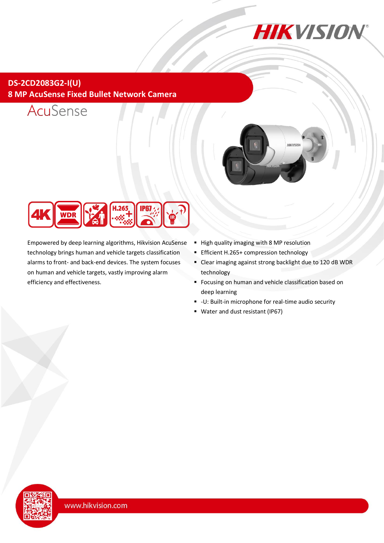

## **DS-2CD2083G2-I(U) 8 MP AcuSense Fixed Bullet Network Camera**







Empowered by deep learning algorithms, Hikvision AcuSense technology brings human and vehicle targets classification alarms to front- and back-end devices. The system focuses on human and vehicle targets, vastly improving alarm efficiency and effectiveness.

- High quality imaging with 8 MP resolution
- **Efficient H.265+ compression technology**
- Clear imaging against strong backlight due to 120 dB WDR technology
- **Focusing on human and vehicle classification based on** deep learning
- -U: Built-in microphone for real-time audio security
- Water and dust resistant (IP67)

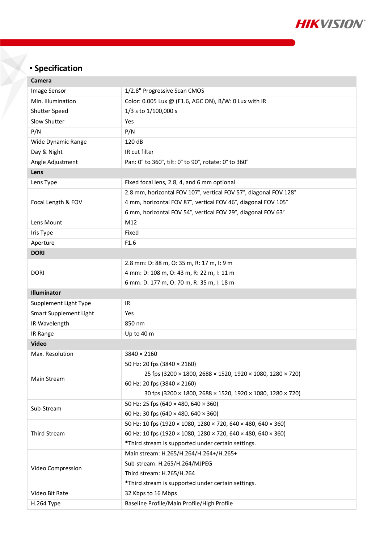

# **Specification**

| Camera                        |                                                                  |  |
|-------------------------------|------------------------------------------------------------------|--|
| <b>Image Sensor</b>           | 1/2.8" Progressive Scan CMOS                                     |  |
| Min. Illumination             | Color: 0.005 Lux @ (F1.6, AGC ON), B/W: 0 Lux with IR            |  |
| Shutter Speed                 | 1/3 s to 1/100,000 s                                             |  |
| Slow Shutter                  | Yes                                                              |  |
| P/N                           | P/N                                                              |  |
| Wide Dynamic Range            | 120 dB                                                           |  |
| Day & Night                   | IR cut filter                                                    |  |
| Angle Adjustment              | Pan: 0° to 360°, tilt: 0° to 90°, rotate: 0° to 360°             |  |
| Lens                          |                                                                  |  |
| Lens Type                     | Fixed focal lens, 2.8, 4, and 6 mm optional                      |  |
| Focal Length & FOV            | 2.8 mm, horizontal FOV 107°, vertical FOV 57°, diagonal FOV 128° |  |
|                               | 4 mm, horizontal FOV 87°, vertical FOV 46°, diagonal FOV 105°    |  |
|                               | 6 mm, horizontal FOV 54°, vertical FOV 29°, diagonal FOV 63°     |  |
| Lens Mount                    | M12                                                              |  |
| Iris Type                     | Fixed                                                            |  |
| Aperture                      | F1.6                                                             |  |
| <b>DORI</b>                   |                                                                  |  |
|                               | 2.8 mm: D: 88 m, O: 35 m, R: 17 m, I: 9 m                        |  |
| <b>DORI</b>                   | 4 mm: D: 108 m, O: 43 m, R: 22 m, I: 11 m                        |  |
|                               | 6 mm: D: 177 m, O: 70 m, R: 35 m, I: 18 m                        |  |
| <b>Illuminator</b>            |                                                                  |  |
| Supplement Light Type         | IR                                                               |  |
| <b>Smart Supplement Light</b> | Yes                                                              |  |
| IR Wavelength                 | 850 nm                                                           |  |
| IR Range                      | Up to 40 m                                                       |  |
| <b>Video</b>                  |                                                                  |  |
| Max. Resolution               | $3840 \times 2160$                                               |  |
| Main Stream                   | 50 Hz: 20 fps (3840 × 2160)                                      |  |
|                               | 25 fps (3200 × 1800, 2688 × 1520, 1920 × 1080, 1280 × 720)       |  |
|                               | 60 Hz: 20 fps (3840 × 2160)                                      |  |
|                               | 30 fps (3200 × 1800, 2688 × 1520, 1920 × 1080, 1280 × 720)       |  |
| Sub-Stream                    | 50 Hz: 25 fps (640 × 480, 640 × 360)                             |  |
|                               | 60 Hz: 30 fps (640 × 480, 640 × 360)                             |  |
|                               | 50 Hz: 10 fps (1920 × 1080, 1280 × 720, 640 × 480, 640 × 360)    |  |
| <b>Third Stream</b>           | 60 Hz: 10 fps (1920 × 1080, 1280 × 720, 640 × 480, 640 × 360)    |  |
|                               | *Third stream is supported under certain settings.               |  |
|                               | Main stream: H.265/H.264/H.264+/H.265+                           |  |
|                               | Sub-stream: H.265/H.264/MJPEG                                    |  |
|                               |                                                                  |  |
| Video Compression             | Third stream: H.265/H.264                                        |  |
|                               | *Third stream is supported under certain settings.               |  |
| Video Bit Rate<br>H.264 Type  | 32 Kbps to 16 Mbps<br>Baseline Profile/Main Profile/High Profile |  |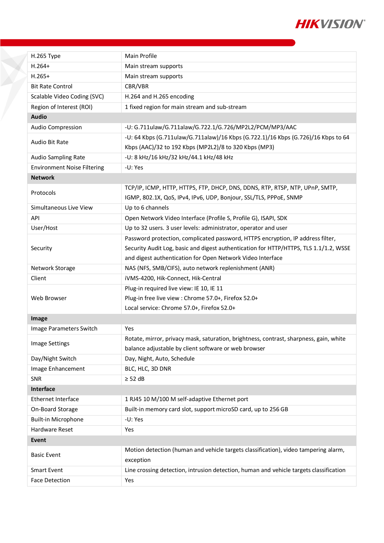

| H.265 Type                         | Main Profile                                                                                                                                      |
|------------------------------------|---------------------------------------------------------------------------------------------------------------------------------------------------|
| $H.264+$                           | Main stream supports                                                                                                                              |
| $H.265+$                           | Main stream supports                                                                                                                              |
| <b>Bit Rate Control</b>            | CBR/VBR                                                                                                                                           |
| Scalable Video Coding (SVC)        | H.264 and H.265 encoding                                                                                                                          |
| Region of Interest (ROI)           | 1 fixed region for main stream and sub-stream                                                                                                     |
| <b>Audio</b>                       |                                                                                                                                                   |
| Audio Compression                  | -U: G.711ulaw/G.711alaw/G.722.1/G.726/MP2L2/PCM/MP3/AAC                                                                                           |
| Audio Bit Rate                     | -U: 64 Kbps (G.711ulaw/G.711alaw)/16 Kbps (G.722.1)/16 Kbps (G.726)/16 Kbps to 64                                                                 |
|                                    | Kbps (AAC)/32 to 192 Kbps (MP2L2)/8 to 320 Kbps (MP3)                                                                                             |
| Audio Sampling Rate                | -U: 8 kHz/16 kHz/32 kHz/44.1 kHz/48 kHz                                                                                                           |
| <b>Environment Noise Filtering</b> | -U: Yes                                                                                                                                           |
| <b>Network</b>                     |                                                                                                                                                   |
| Protocols                          | TCP/IP, ICMP, HTTP, HTTPS, FTP, DHCP, DNS, DDNS, RTP, RTSP, NTP, UPnP, SMTP,<br>IGMP, 802.1X, QoS, IPv4, IPv6, UDP, Bonjour, SSL/TLS, PPPoE, SNMP |
| Simultaneous Live View             | Up to 6 channels                                                                                                                                  |
| API                                | Open Network Video Interface (Profile S, Profile G), ISAPI, SDK                                                                                   |
| User/Host                          | Up to 32 users. 3 user levels: administrator, operator and user                                                                                   |
|                                    | Password protection, complicated password, HTTPS encryption, IP address filter,                                                                   |
| Security                           | Security Audit Log, basic and digest authentication for HTTP/HTTPS, TLS 1.1/1.2, WSSE                                                             |
|                                    | and digest authentication for Open Network Video Interface                                                                                        |
| Network Storage                    | NAS (NFS, SMB/CIFS), auto network replenishment (ANR)                                                                                             |
| Client                             | iVMS-4200, Hik-Connect, Hik-Central                                                                                                               |
|                                    | Plug-in required live view: IE 10, IE 11                                                                                                          |
| Web Browser                        | Plug-in free live view : Chrome 57.0+, Firefox 52.0+                                                                                              |
|                                    | Local service: Chrome 57.0+, Firefox 52.0+                                                                                                        |
| Image                              |                                                                                                                                                   |
| Image Parameters Switch            | Yes                                                                                                                                               |
|                                    | Rotate, mirror, privacy mask, saturation, brightness, contrast, sharpness, gain, white                                                            |
| Image Settings                     | balance adjustable by client software or web browser                                                                                              |
| Day/Night Switch                   | Day, Night, Auto, Schedule                                                                                                                        |
| Image Enhancement                  | BLC, HLC, 3D DNR                                                                                                                                  |
| SNR                                | $\geq$ 52 dB                                                                                                                                      |
| Interface                          |                                                                                                                                                   |
| Ethernet Interface                 | 1 RJ45 10 M/100 M self-adaptive Ethernet port                                                                                                     |
| On-Board Storage                   | Built-in memory card slot, support microSD card, up to 256 GB                                                                                     |
| Built-in Microphone                | -U: Yes                                                                                                                                           |
| Hardware Reset                     | Yes                                                                                                                                               |
| Event                              |                                                                                                                                                   |
|                                    |                                                                                                                                                   |
| <b>Basic Event</b>                 | Motion detection (human and vehicle targets classification), video tampering alarm,<br>exception                                                  |
| <b>Smart Event</b>                 | Line crossing detection, intrusion detection, human and vehicle targets classification                                                            |
| <b>Face Detection</b>              | Yes                                                                                                                                               |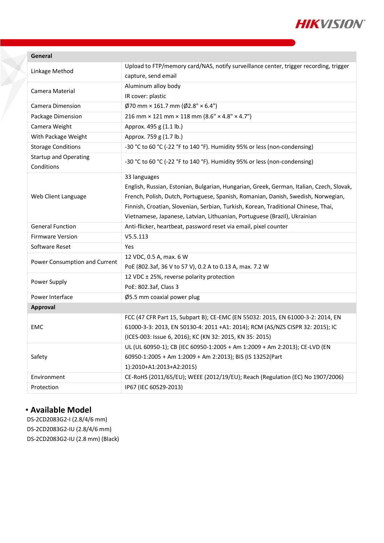

| Linkage Method                             | Upload to FTP/memory card/NAS, notify surveillance center, trigger recording, trigger    |
|--------------------------------------------|------------------------------------------------------------------------------------------|
|                                            | capture, send email                                                                      |
| Camera Material                            | Aluminum alloy body                                                                      |
|                                            | IR cover: plastic                                                                        |
| Camera Dimension                           | $\emptyset$ 70 mm × 161.7 mm ( $\emptyset$ 2.8" × 6.4")                                  |
| Package Dimension                          | $216$ mm × 121 mm × 118 mm (8.6" × 4.8" × 4.7")                                          |
| Camera Weight                              | Approx. 495 g (1.1 lb.)                                                                  |
| With Package Weight                        | Approx. 759 g (1.7 lb.)                                                                  |
| <b>Storage Conditions</b>                  | -30 °C to 60 °C (-22 °F to 140 °F). Humidity 95% or less (non-condensing)                |
| <b>Startup and Operating</b><br>Conditions | -30 °C to 60 °C (-22 °F to 140 °F). Humidity 95% or less (non-condensing)                |
| Web Client Language                        | 33 languages                                                                             |
|                                            | English, Russian, Estonian, Bulgarian, Hungarian, Greek, German, Italian, Czech, Slovak, |
|                                            | French, Polish, Dutch, Portuguese, Spanish, Romanian, Danish, Swedish, Norwegian,        |
|                                            | Finnish, Croatian, Slovenian, Serbian, Turkish, Korean, Traditional Chinese, Thai,       |
|                                            | Vietnamese, Japanese, Latvian, Lithuanian, Portuguese (Brazil), Ukrainian                |
| <b>General Function</b>                    | Anti-flicker, heartbeat, password reset via email, pixel counter                         |
| <b>Firmware Version</b>                    | V5.5.113                                                                                 |
| Software Reset                             | Yes                                                                                      |
| Power Consumption and Current              | 12 VDC, 0.5 A, max. 6 W                                                                  |
|                                            | PoE (802.3af, 36 V to 57 V), 0.2 A to 0.13 A, max. 7.2 W                                 |
| Power Supply                               | 12 VDC ± 25%, reverse polarity protection                                                |
|                                            | PoE: 802.3af, Class 3                                                                    |
| Power Interface                            | Ø5.5 mm coaxial power plug                                                               |
| Approval                                   |                                                                                          |
| EMC                                        | FCC (47 CFR Part 15, Subpart B); CE-EMC (EN 55032: 2015, EN 61000-3-2: 2014, EN          |
|                                            | 61000-3-3: 2013, EN 50130-4: 2011 +A1: 2014); RCM (AS/NZS CISPR 32: 2015); IC            |
|                                            | (ICES-003: Issue 6, 2016); KC (KN 32: 2015, KN 35: 2015)                                 |
| Safety                                     | UL (UL 60950-1); CB (IEC 60950-1:2005 + Am 1:2009 + Am 2:2013); CE-LVD (EN               |
|                                            | 60950-1:2005 + Am 1:2009 + Am 2:2013); BIS (IS 13252(Part                                |
|                                            | 1):2010+A1:2013+A2:2015)                                                                 |
| Environment                                | CE-RoHS (2011/65/EU); WEEE (2012/19/EU); Reach (Regulation (EC) No 1907/2006)            |
| Protection                                 | IP67 (IEC 60529-2013)                                                                    |

## **Available Model**

DS-2CD2083G2-I (2.8/4/6 mm) DS-2CD2083G2-IU (2.8/4/6 mm) DS-2CD2083G2-IU (2.8 mm) (Black)